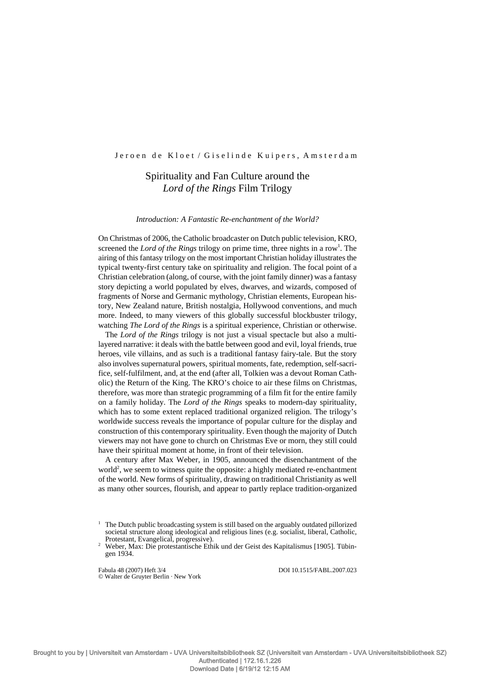# Jeroen de Kloet / Giselinde Kuipers, Amsterdam

# Spirituality and Fan Culture around the *Lord of the Rings* Film Trilogy

### *Introduction: A Fantastic Re-enchantment of the World?*

On Christmas of 2006, the Catholic broadcaster on Dutch public television, KRO, screened the *Lord of the Rings* trilogy on prime time, three nights in a row<sup>1</sup>. The airing of this fantasy trilogy on the most important Christian holiday illustrates the typical twenty-first century take on spirituality and religion. The focal point of a Christian celebration (along, of course, with the joint family dinner) was a fantasy story depicting a world populated by elves, dwarves, and wizards, composed of fragments of Norse and Germanic mythology, Christian elements, European history, New Zealand nature, British nostalgia, Hollywood conventions, and much more. Indeed, to many viewers of this globally successful blockbuster trilogy, watching *The Lord of the Rings* is a spiritual experience, Christian or otherwise.

The *Lord of the Rings* trilogy is not just a visual spectacle but also a multilayered narrative: it deals with the battle between good and evil, loyal friends, true heroes, vile villains, and as such is a traditional fantasy fairy-tale. But the story also involves supernatural powers, spiritual moments, fate, redemption, self-sacrifice, self-fulfilment, and, at the end (after all, Tolkien was a devout Roman Catholic) the Return of the King. The KRO's choice to air these films on Christmas, therefore, was more than strategic programming of a film fit for the entire family on a family holiday. The *Lord of the Rings* speaks to modern-day spirituality, which has to some extent replaced traditional organized religion. The trilogy's worldwide success reveals the importance of popular culture for the display and construction of this contemporary spirituality. Even though the majority of Dutch viewers may not have gone to church on Christmas Eve or morn, they still could have their spiritual moment at home, in front of their television.

A century after Max Weber, in 1905, announced the disenchantment of the world<sup>2</sup>, we seem to witness quite the opposite: a highly mediated re-enchantment of the world. New forms of spirituality, drawing on traditional Christianity as well as many other sources, flourish, and appear to partly replace tradition-organized

Fabula 48 (2007) Heft 3/4 DOI 10.1515/FABL.2007.023 © Walter de Gruyter Berlin · New York

<sup>&</sup>lt;sup>1</sup> The Dutch public broadcasting system is still based on the arguably outdated pillorized societal structure along ideological and religious lines (e.g. socialist, liberal, Catholic, Protestant, Evangelical, progressive).

<sup>&</sup>lt;sup>2</sup> Weber, Max: Die protestantische Ethik und der Geist des Kapitalismus [1905]. Tübingen 1934.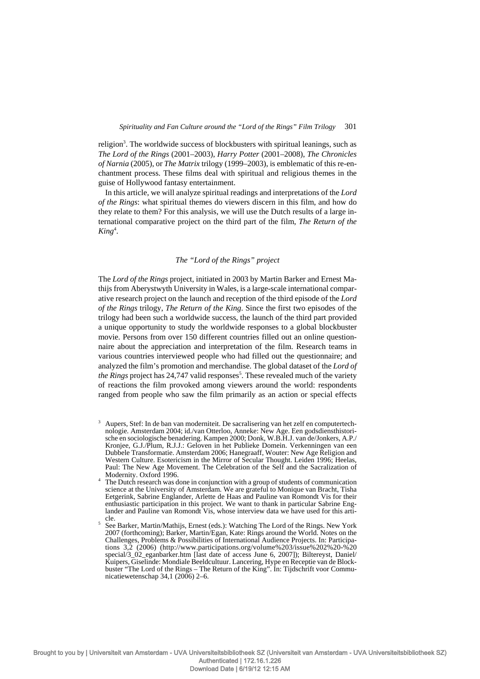religion<sup>3</sup>. The worldwide success of blockbusters with spiritual leanings, such as *The Lord of the Rings* (2001–2003), *Harry Potter* (2001–2008), *The Chronicles of Narnia* (2005), or *The Matrix* trilogy (1999–2003), is emblematic of this re-enchantment process. These films deal with spiritual and religious themes in the guise of Hollywood fantasy entertainment.

In this article, we will analyze spiritual readings and interpretations of the *Lord of the Rings*: what spiritual themes do viewers discern in this film, and how do they relate to them? For this analysis, we will use the Dutch results of a large international comparative project on the third part of the film, *The Return of the King*<sup>4</sup> .

# *The "Lord of the Rings" project*

The *Lord of the Rings* project, initiated in 2003 by Martin Barker and Ernest Mathijs from Aberystwyth University in Wales, is a large-scale international comparative research project on the launch and reception of the third episode of the *Lord of the Rings* trilogy, *The Return of the King*. Since the first two episodes of the trilogy had been such a worldwide success, the launch of the third part provided a unique opportunity to study the worldwide responses to a global blockbuster movie. Persons from over 150 different countries filled out an online questionnaire about the appreciation and interpretation of the film. Research teams in various countries interviewed people who had filled out the questionnaire; and analyzed the film's promotion and merchandise. The global dataset of the *Lord of* the Rings project has 24,747 valid responses<sup>5</sup>. These revealed much of the variety of reactions the film provoked among viewers around the world: respondents ranged from people who saw the film primarily as an action or special effects

<sup>3</sup> Aupers, Stef: In de ban van moderniteit. De sacralisering van het zelf en computertechnologie. Amsterdam 2004; id./van Otterloo, Anneke: New Age. Een godsdiensthistorische en sociologische benadering. Kampen 2000; Donk, W.B.H.J. van de/Jonkers, A.P./ Kronjee, G.J./Plum, R.J.J.: Geloven in het Publieke Domein. Verkenningen van een Dubbele Transformatie. Amsterdam 2006; Hanegraaff, Wouter: New Age Religion and Western Culture. Esotericism in the Mirror of Secular Thought. Leiden 1996; Heelas, Paul: The New Age Movement. The Celebration of the Self and the Sacralization of

The Dutch research was done in conjunction with a group of students of communication science at the University of Amsterdam. We are grateful to Monique van Bracht, Tisha Eetgerink, Sabrine Englander, Arlette de Haas and Pauline van Romondt Vis for their enthusiastic participation in this project. We want to thank in particular Sabrine Englander and Pauline van Romondt Vis, whose interview data we have used for this arti-

cle.<br>See Barker, Martin/Mathijs, Ernest (eds.): Watching The Lord of the Rings. New York 2007 (forthcoming); Barker, Martin/Egan, Kate: Rings around the World. Notes on the Challenges, Problems & Possibilities of International Audience Projects. In: Participations 3,2 (2006) (http://www.participations.org/volume%203/issue%202%20-%20 special/3\_02\_eganbarker.htm [last date of access June 6, 2007]); Biltereyst, Daniel/ Kuipers, Giselinde: Mondiale Beeldcultuur. Lancering, Hype en Receptie van de Blockbuster "The Lord of the Rings – The Return of the King". In: Tijdschrift voor Communicatiewetenschap  $34,1$  (2006) 2–6.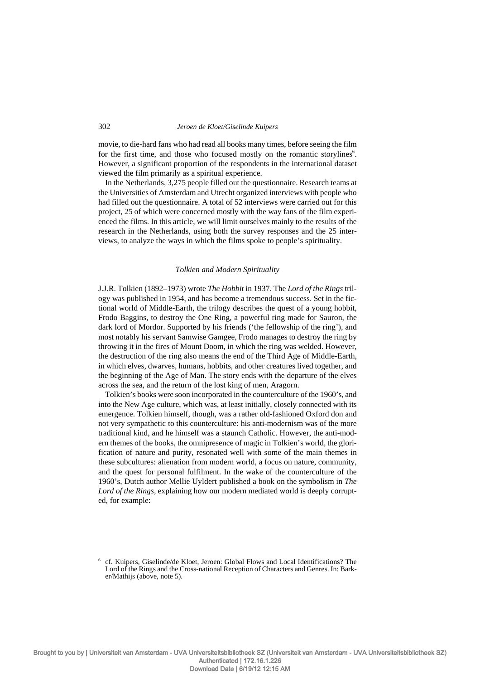movie, to die-hard fans who had read all books many times, before seeing the film for the first time, and those who focused mostly on the romantic storylines<sup>6</sup>. However, a significant proportion of the respondents in the international dataset viewed the film primarily as a spiritual experience.

In the Netherlands, 3,275 people filled out the questionnaire. Research teams at the Universities of Amsterdam and Utrecht organized interviews with people who had filled out the questionnaire. A total of 52 interviews were carried out for this project, 25 of which were concerned mostly with the way fans of the film experienced the films. In this article, we will limit ourselves mainly to the results of the research in the Netherlands, using both the survey responses and the 25 interviews, to analyze the ways in which the films spoke to people's spirituality.

### *Tolkien and Modern Spirituality*

J.J.R. Tolkien (1892–1973) wrote *The Hobbit* in 1937. The *Lord of the Rings* trilogy was published in 1954, and has become a tremendous success. Set in the fictional world of Middle-Earth, the trilogy describes the quest of a young hobbit, Frodo Baggins, to destroy the One Ring, a powerful ring made for Sauron, the dark lord of Mordor. Supported by his friends ('the fellowship of the ring'), and most notably his servant Samwise Gamgee, Frodo manages to destroy the ring by throwing it in the fires of Mount Doom, in which the ring was welded. However, the destruction of the ring also means the end of the Third Age of Middle-Earth, in which elves, dwarves, humans, hobbits, and other creatures lived together, and the beginning of the Age of Man. The story ends with the departure of the elves across the sea, and the return of the lost king of men, Aragorn.

Tolkien's books were soon incorporated in the counterculture of the 1960's, and into the New Age culture, which was, at least initially, closely connected with its emergence. Tolkien himself, though, was a rather old-fashioned Oxford don and not very sympathetic to this counterculture: his anti-modernism was of the more traditional kind, and he himself was a staunch Catholic. However, the anti-modern themes of the books, the omnipresence of magic in Tolkien's world, the glorification of nature and purity, resonated well with some of the main themes in these subcultures: alienation from modern world, a focus on nature, community, and the quest for personal fulfilment. In the wake of the counterculture of the 1960's, Dutch author Mellie Uyldert published a book on the symbolism in *The Lord of the Rings*, explaining how our modern mediated world is deeply corrupted, for example:

<sup>6</sup> cf. Kuipers, Giselinde/de Kloet, Jeroen: Global Flows and Local Identifications? The Lord of the Rings and the Cross-national Reception of Characters and Genres. In: Barker/Mathijs (above, note 5).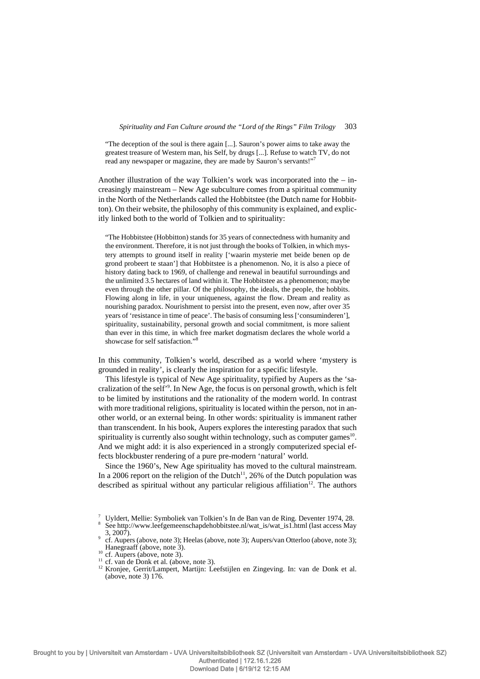"The deception of the soul is there again [...]. Sauron's power aims to take away the greatest treasure of Western man, his Self, by drugs [...]. Refuse to watch TV, do not read any newspaper or magazine, they are made by Sauron's servants!"<sup>7</sup>

Another illustration of the way Tolkien's work was incorporated into the – increasingly mainstream – New Age subculture comes from a spiritual community in the North of the Netherlands called the Hobbitstee (the Dutch name for Hobbitton). On their website, the philosophy of this community is explained, and explicitly linked both to the world of Tolkien and to spirituality:

"The Hobbitstee (Hobbitton) stands for 35 years of connectedness with humanity and the environment. Therefore, it is not just through the books of Tolkien, in which mystery attempts to ground itself in reality ['waarin mysterie met beide benen op de grond probeert te staan'] that Hobbitstee is a phenomenon. No, it is also a piece of history dating back to 1969, of challenge and renewal in beautiful surroundings and the unlimited 3.5 hectares of land within it. The Hobbitstee as a phenomenon; maybe even through the other pillar. Of the philosophy, the ideals, the people, the hobbits. Flowing along in life, in your uniqueness, against the flow. Dream and reality as nourishing paradox. Nourishment to persist into the present, even now, after over 35 years of 'resistance in time of peace'. The basis of consuming less ['consuminderen'], spirituality, sustainability, personal growth and social commitment, is more salient than ever in this time, in which free market dogmatism declares the whole world a showcase for self satisfaction."8

In this community, Tolkien's world, described as a world where 'mystery is grounded in reality', is clearly the inspiration for a specific lifestyle.

This lifestyle is typical of New Age spirituality, typified by Aupers as the 'sacralization of the self<sup>3</sup>. In New Age, the focus is on personal growth, which is felt to be limited by institutions and the rationality of the modern world. In contrast with more traditional religions, spirituality is located within the person, not in another world, or an external being. In other words: spirituality is immanent rather than transcendent. In his book, Aupers explores the interesting paradox that such spirituality is currently also sought within technology, such as computer games $10$ . And we might add: it is also experienced in a strongly computerized special effects blockbuster rendering of a pure pre-modern 'natural' world.

Since the 1960's, New Age spirituality has moved to the cultural mainstream. In a 2006 report on the religion of the Dutch<sup>11</sup>, 26% of the Dutch population was described as spiritual without any particular religious affiliation $12$ . The authors

<sup>7</sup> Uyldert, Mellie: Symboliek van Tolkien's In de Ban van de Ring. Deventer 1974, 28. <sup>8</sup> See http://www.leefgemeenschapdehobbitstee.nl/wat\_is/wat\_is1.html (last access May

cf. Aupers (above, note 3); Heelas (above, note 3); Aupers/van Otterloo (above, note 3); Hanegraaff (above, note 3).

Hanegraaff (above, note 3).<br>
<sup>10</sup> cf. Aupers (above, note 3).<br>
<sup>11</sup> cf. van de Donk et al. (above, note 3).<br>
<sup>12</sup> Kronjee, Gerrit/Lampert, Martijn: Leefstijlen en Zingeving. In: van de Donk et al. (above, note 3) 176.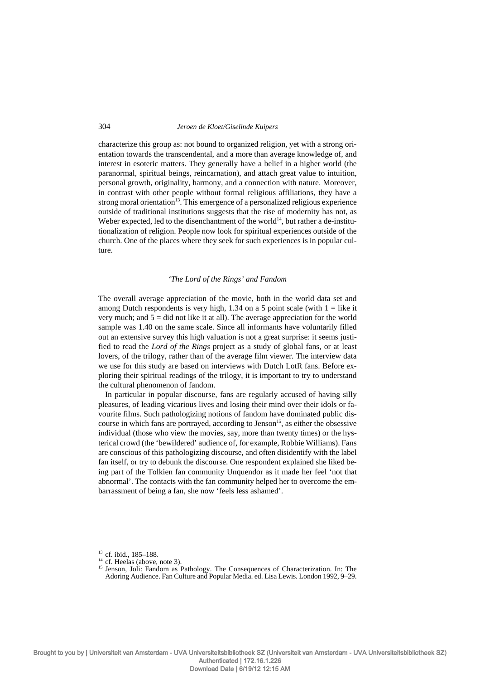characterize this group as: not bound to organized religion, yet with a strong orientation towards the transcendental, and a more than average knowledge of, and interest in esoteric matters. They generally have a belief in a higher world (the paranormal, spiritual beings, reincarnation), and attach great value to intuition, personal growth, originality, harmony, and a connection with nature. Moreover, in contrast with other people without formal religious affiliations, they have a strong moral orientation<sup>13</sup>. This emergence of a personalized religious experience outside of traditional institutions suggests that the rise of modernity has not, as Weber expected, led to the disenchantment of the world<sup>14</sup>, but rather a de-institutionalization of religion. People now look for spiritual experiences outside of the church. One of the places where they seek for such experiences is in popular culture.

### *'The Lord of the Rings' and Fandom*

The overall average appreciation of the movie, both in the world data set and among Dutch respondents is very high, 1.34 on a 5 point scale (with  $1 =$  like it very much; and 5 = did not like it at all). The average appreciation for the world sample was 1.40 on the same scale. Since all informants have voluntarily filled out an extensive survey this high valuation is not a great surprise: it seems justified to read the *Lord of the Rings* project as a study of global fans, or at least lovers, of the trilogy, rather than of the average film viewer. The interview data we use for this study are based on interviews with Dutch LotR fans. Before exploring their spiritual readings of the trilogy, it is important to try to understand the cultural phenomenon of fandom.

In particular in popular discourse, fans are regularly accused of having silly pleasures, of leading vicarious lives and losing their mind over their idols or favourite films. Such pathologizing notions of fandom have dominated public discourse in which fans are portrayed, according to Jenson<sup>15</sup>, as either the obsessive individual (those who view the movies, say, more than twenty times) or the hysterical crowd (the 'bewildered' audience of, for example, Robbie Williams). Fans are conscious of this pathologizing discourse, and often disidentify with the label fan itself, or try to debunk the discourse. One respondent explained she liked being part of the Tolkien fan community Unquendor as it made her feel 'not that abnormal'. The contacts with the fan community helped her to overcome the embarrassment of being a fan, she now 'feels less ashamed'.

<sup>&</sup>lt;sup>13</sup> cf. ibid., 185–188.<br><sup>14</sup> cf. Heelas (above, note 3).<br><sup>15</sup> Jenson, Joli: Fandom as Pathology. The Consequences of Characterization. In: The Adoring Audience. Fan Culture and Popular Media. ed. Lisa Lewis. London 1992, 9–29.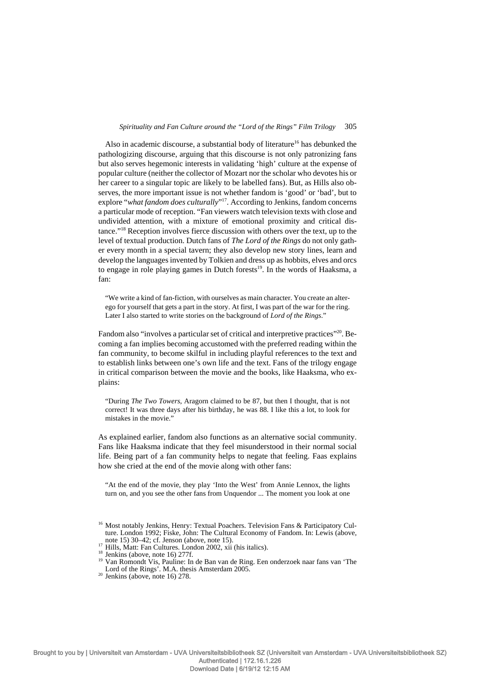Also in academic discourse, a substantial body of literature<sup>16</sup> has debunked the pathologizing discourse, arguing that this discourse is not only patronizing fans but also serves hegemonic interests in validating 'high' culture at the expense of popular culture (neither the collector of Mozart nor the scholar who devotes his or her career to a singular topic are likely to be labelled fans). But, as Hills also observes, the more important issue is not whether fandom is 'good' or 'bad', but to explore "what fandom does culturally"<sup>17</sup>. According to Jenkins, fandom concerns a particular mode of reception. "Fan viewers watch television texts with close and undivided attention, with a mixture of emotional proximity and critical distance."18 Reception involves fierce discussion with others over the text, up to the level of textual production. Dutch fans of *The Lord of the Rings* do not only gather every month in a special tavern; they also develop new story lines, learn and develop the languages invented by Tolkien and dress up as hobbits, elves and orcs to engage in role playing games in Dutch forests<sup>19</sup>. In the words of Haaksma, a fan:

"We write a kind of fan-fiction, with ourselves as main character. You create an alterego for yourself that gets a part in the story. At first, I was part of the war for the ring. Later I also started to write stories on the background of *Lord of the Rings*."

Fandom also "involves a particular set of critical and interpretive practices"<sup>20</sup>. Becoming a fan implies becoming accustomed with the preferred reading within the fan community, to become skilful in including playful references to the text and to establish links between one's own life and the text. Fans of the trilogy engage in critical comparison between the movie and the books, like Haaksma, who explains:

"During *The Two Towers*, Aragorn claimed to be 87, but then I thought, that is not correct! It was three days after his birthday, he was 88. I like this a lot, to look for mistakes in the movie."

As explained earlier, fandom also functions as an alternative social community. Fans like Haaksma indicate that they feel misunderstood in their normal social life. Being part of a fan community helps to negate that feeling. Faas explains how she cried at the end of the movie along with other fans:

"At the end of the movie, they play 'Into the West' from Annie Lennox, the lights turn on, and you see the other fans from Unquendor ... The moment you look at one

<sup>&</sup>lt;sup>16</sup> Most notably Jenkins, Henry: Textual Poachers. Television Fans & Participatory Culture. London 1992; Fiske, John: The Cultural Economy of Fandom. In: Lewis (above,

<sup>17</sup> Hills, Matt: Fan Cultures. London 2002, xii (his italics).<br>
<sup>17</sup> Hills, Matt: Fan Cultures. London 2002, xii (his italics).<br>
<sup>19</sup> Van Romondt Vis, Pauline: In de Ban van de Ring. Een onderzoek naar fans van 'The Lord of the Rings'. M.A. thesis Amsterdam 2005.<sup>20</sup> Jenkins (above, note 16) 278.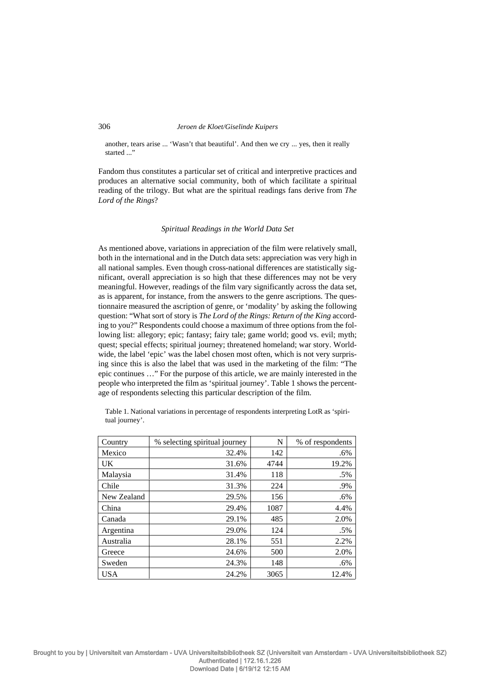another, tears arise ... 'Wasn't that beautiful'. And then we cry ... yes, then it really started ..."

Fandom thus constitutes a particular set of critical and interpretive practices and produces an alternative social community, both of which facilitate a spiritual reading of the trilogy. But what are the spiritual readings fans derive from *The Lord of the Rings*?

### *Spiritual Readings in the World Data Set*

As mentioned above, variations in appreciation of the film were relatively small, both in the international and in the Dutch data sets: appreciation was very high in all national samples. Even though cross-national differences are statistically significant, overall appreciation is so high that these differences may not be very meaningful. However, readings of the film vary significantly across the data set, as is apparent, for instance, from the answers to the genre ascriptions. The questionnaire measured the ascription of genre, or 'modality' by asking the following question: "What sort of story is *The Lord of the Rings: Return of the King* according to you?" Respondents could choose a maximum of three options from the following list: allegory; epic; fantasy; fairy tale; game world; good vs. evil; myth; quest; special effects; spiritual journey; threatened homeland; war story. Worldwide, the label 'epic' was the label chosen most often, which is not very surprising since this is also the label that was used in the marketing of the film: "The epic continues …" For the purpose of this article, we are mainly interested in the people who interpreted the film as 'spiritual journey'. Table 1 shows the percentage of respondents selecting this particular description of the film.

| Country     | % selecting spiritual journey | N    | % of respondents |
|-------------|-------------------------------|------|------------------|
| Mexico      | 32.4%                         | 142  | $.6\%$           |
| UK          | 31.6%                         | 4744 | 19.2%            |
| Malaysia    | 31.4%                         | 118  | .5%              |
| Chile       | 31.3%                         | 224  | .9%              |
| New Zealand | 29.5%                         | 156  | .6%              |
| China       | 29.4%                         | 1087 | 4.4%             |
| Canada      | 29.1%                         | 485  | 2.0%             |
| Argentina   | 29.0%                         | 124  | .5%              |
| Australia   | 28.1%                         | 551  | 2.2%             |
| Greece      | 24.6%                         | 500  | 2.0%             |
| Sweden      | 24.3%                         | 148  | .6%              |
| <b>USA</b>  | 24.2%                         | 3065 | 12.4%            |

Table 1. National variations in percentage of respondents interpreting LotR as 'spiritual journey'.

Brought to you by | Universiteit van Amsterdam - UVA Universiteitsbibliotheek SZ (Universiteit van Amsterdam - UVA Universiteitsbibliotheek SZ) Authenticated | 172.16.1.226 Download Date | 6/19/12 12:15 AM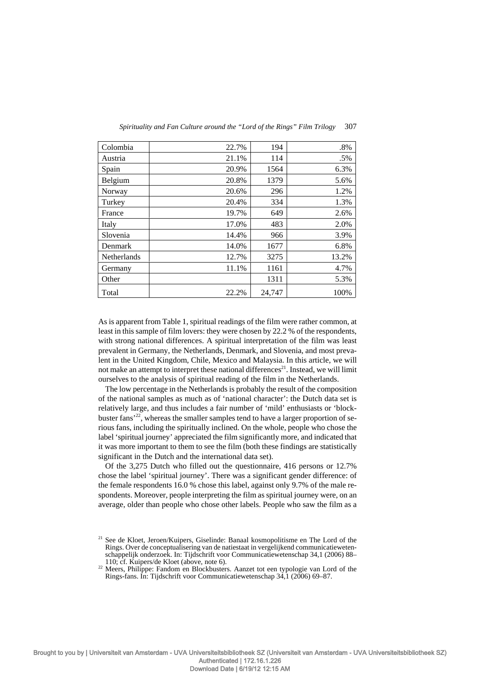| Colombia    | 22.7% | 194    | .8%   |
|-------------|-------|--------|-------|
| Austria     | 21.1% | 114    | .5%   |
| Spain       | 20.9% | 1564   | 6.3%  |
| Belgium     | 20.8% | 1379   | 5.6%  |
| Norway      | 20.6% | 296    | 1.2%  |
| Turkey      | 20.4% | 334    | 1.3%  |
| France      | 19.7% | 649    | 2.6%  |
| Italy       | 17.0% | 483    | 2.0%  |
| Slovenia    | 14.4% | 966    | 3.9%  |
| Denmark     | 14.0% | 1677   | 6.8%  |
| Netherlands | 12.7% | 3275   | 13.2% |
| Germany     | 11.1% | 1161   | 4.7%  |
| Other       |       | 1311   | 5.3%  |
| Total       | 22.2% | 24,747 | 100%  |

*Spirituality and Fan Culture around the "Lord of the Rings" Film Trilogy* 307

As is apparent from Table 1, spiritual readings of the film were rather common, at least in this sample of film lovers: they were chosen by 22.2 % of the respondents, with strong national differences. A spiritual interpretation of the film was least prevalent in Germany, the Netherlands, Denmark, and Slovenia, and most prevalent in the United Kingdom, Chile, Mexico and Malaysia. In this article, we will not make an attempt to interpret these national differences<sup>21</sup>. Instead, we will limit ourselves to the analysis of spiritual reading of the film in the Netherlands.

The low percentage in the Netherlands is probably the result of the composition of the national samples as much as of 'national character': the Dutch data set is relatively large, and thus includes a fair number of 'mild' enthusiasts or 'blockbuster fans'22, whereas the smaller samples tend to have a larger proportion of serious fans, including the spiritually inclined. On the whole, people who chose the label 'spiritual journey' appreciated the film significantly more, and indicated that it was more important to them to see the film (both these findings are statistically significant in the Dutch and the international data set).

Of the 3,275 Dutch who filled out the questionnaire, 416 persons or 12.7% chose the label 'spiritual journey'. There was a significant gender difference: of the female respondents 16.0 % chose this label, against only 9.7% of the male respondents. Moreover, people interpreting the film as spiritual journey were, on an average, older than people who chose other labels. People who saw the film as a

<sup>21</sup> See de Kloet, Jeroen/Kuipers, Giselinde: Banaal kosmopolitisme en The Lord of the Rings. Over de conceptualisering van de natiestaat in vergelijkend communicatiewetenschappelijk onderzoek. In: Tijdschrift voor Communicatiewetenschap 34,1 (2006) 88–

<sup>&</sup>lt;sup>22</sup> Meers, Philippe: Fandom en Blockbusters. Aanzet tot een typologie van Lord of the Rings-fans. In: Tijdschrift voor Communicatiewetenschap 34,1 (2006) 69–87.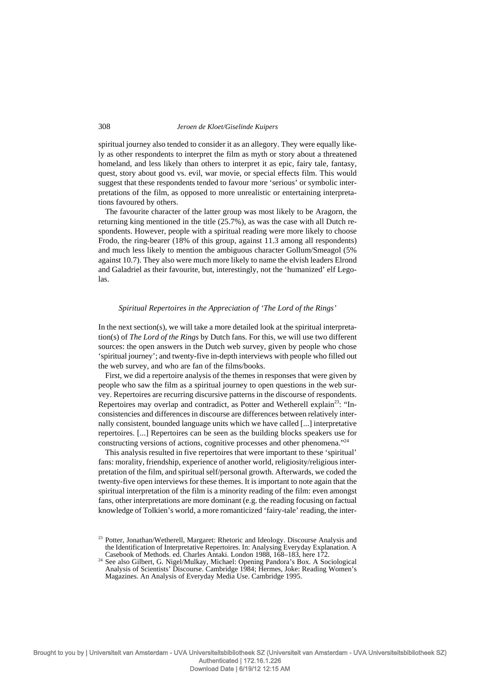spiritual journey also tended to consider it as an allegory. They were equally likely as other respondents to interpret the film as myth or story about a threatened homeland, and less likely than others to interpret it as epic, fairy tale, fantasy, quest, story about good vs. evil, war movie, or special effects film. This would suggest that these respondents tended to favour more 'serious' or symbolic interpretations of the film, as opposed to more unrealistic or entertaining interpretations favoured by others.

The favourite character of the latter group was most likely to be Aragorn, the returning king mentioned in the title (25.7%), as was the case with all Dutch respondents. However, people with a spiritual reading were more likely to choose Frodo, the ring-bearer (18% of this group, against 11.3 among all respondents) and much less likely to mention the ambiguous character Gollum/Smeagol (5% against 10.7). They also were much more likely to name the elvish leaders Elrond and Galadriel as their favourite, but, interestingly, not the 'humanized' elf Legolas.

## *Spiritual Repertoires in the Appreciation of 'The Lord of the Rings'*

In the next section(s), we will take a more detailed look at the spiritual interpretation(s) of *The Lord of the Rings* by Dutch fans. For this, we will use two different sources: the open answers in the Dutch web survey, given by people who chose 'spiritual journey'; and twenty-five in-depth interviews with people who filled out the web survey, and who are fan of the films/books.

First, we did a repertoire analysis of the themes in responses that were given by people who saw the film as a spiritual journey to open questions in the web survey. Repertoires are recurring discursive patterns in the discourse of respondents. Repertoires may overlap and contradict, as Potter and Wetherell explain<sup>23</sup>: "Inconsistencies and differences in discourse are differences between relatively internally consistent, bounded language units which we have called [...] interpretative repertoires. [...] Repertoires can be seen as the building blocks speakers use for constructing versions of actions, cognitive processes and other phenomena."<sup>24</sup>

This analysis resulted in five repertoires that were important to these 'spiritual' fans: morality, friendship, experience of another world, religiosity/religious interpretation of the film, and spiritual self/personal growth. Afterwards, we coded the twenty-five open interviews for these themes. It is important to note again that the spiritual interpretation of the film is a minority reading of the film: even amongst fans, other interpretations are more dominant (e.g. the reading focusing on factual knowledge of Tolkien's world, a more romanticized 'fairy-tale' reading, the inter-

<sup>&</sup>lt;sup>23</sup> Potter, Jonathan/Wetherell, Margaret: Rhetoric and Ideology. Discourse Analysis and the Identification of Interpretative Repertoires. In: Analysing Everyday Explanation. A Casebook of Methods. ed. Charles Antaki. London 1988, 168–183, here 172.

Casebook of Methods. ed. Charles Antaki. London 1988, 168–183, here 172.<br><sup>24</sup> See also Gilbert, G. Nigel/Mulkay, Michael: Opening Pandora's Box. A Sociological Analysis of Scientists' Discourse. Cambridge 1984; Hermes, Joke: Reading Women's Magazines. An Analysis of Everyday Media Use. Cambridge 1995.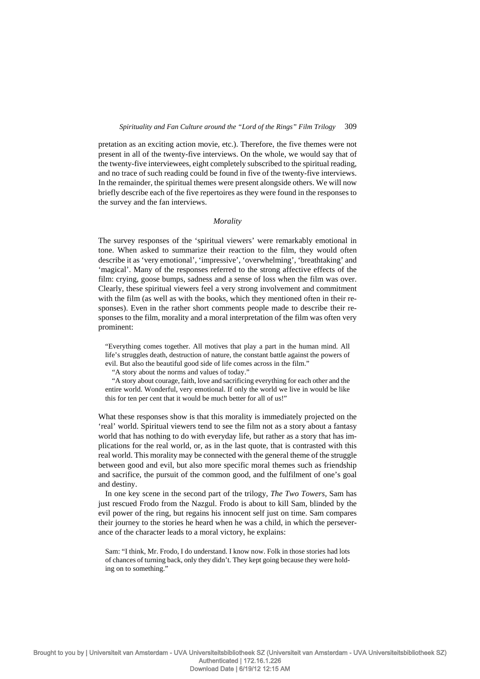pretation as an exciting action movie, etc.). Therefore, the five themes were not present in all of the twenty-five interviews. On the whole, we would say that of the twenty-five interviewees, eight completely subscribed to the spiritual reading, and no trace of such reading could be found in five of the twenty-five interviews. In the remainder, the spiritual themes were present alongside others. We will now briefly describe each of the five repertoires as they were found in the responses to the survey and the fan interviews.

## *Morality*

The survey responses of the 'spiritual viewers' were remarkably emotional in tone. When asked to summarize their reaction to the film, they would often describe it as 'very emotional', 'impressive', 'overwhelming', 'breathtaking' and 'magical'. Many of the responses referred to the strong affective effects of the film: crying, goose bumps, sadness and a sense of loss when the film was over. Clearly, these spiritual viewers feel a very strong involvement and commitment with the film (as well as with the books, which they mentioned often in their responses). Even in the rather short comments people made to describe their responses to the film, morality and a moral interpretation of the film was often very prominent:

"Everything comes together. All motives that play a part in the human mind. All life's struggles death, destruction of nature, the constant battle against the powers of evil. But also the beautiful good side of life comes across in the film."

"A story about the norms and values of today."

"A story about courage, faith, love and sacrificing everything for each other and the entire world. Wonderful, very emotional. If only the world we live in would be like this for ten per cent that it would be much better for all of us!"

What these responses show is that this morality is immediately projected on the 'real' world. Spiritual viewers tend to see the film not as a story about a fantasy world that has nothing to do with everyday life, but rather as a story that has implications for the real world, or, as in the last quote, that is contrasted with this real world. This morality may be connected with the general theme of the struggle between good and evil, but also more specific moral themes such as friendship and sacrifice, the pursuit of the common good, and the fulfilment of one's goal and destiny.

In one key scene in the second part of the trilogy, *The Two Towers*, Sam has just rescued Frodo from the Nazgul. Frodo is about to kill Sam, blinded by the evil power of the ring, but regains his innocent self just on time. Sam compares their journey to the stories he heard when he was a child, in which the perseverance of the character leads to a moral victory, he explains:

Sam: "I think, Mr. Frodo, I do understand. I know now. Folk in those stories had lots of chances of turning back, only they didn't. They kept going because they were holding on to something."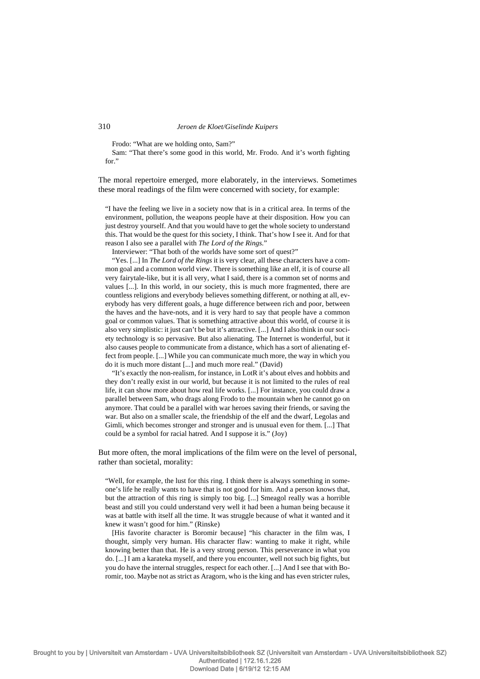Frodo: "What are we holding onto, Sam?"

Sam: "That there's some good in this world, Mr. Frodo. And it's worth fighting for."

The moral repertoire emerged, more elaborately, in the interviews. Sometimes these moral readings of the film were concerned with society, for example:

"I have the feeling we live in a society now that is in a critical area. In terms of the environment, pollution, the weapons people have at their disposition. How you can just destroy yourself. And that you would have to get the whole society to understand this. That would be the quest for this society, I think. That's how I see it. And for that reason I also see a parallel with *The Lord of the Rings*."

Interviewer: "That both of the worlds have some sort of quest?"

"Yes. [...] In *The Lord of the Rings* it is very clear, all these characters have a common goal and a common world view. There is something like an elf, it is of course all very fairytale-like, but it is all very, what I said, there is a common set of norms and values [...]. In this world, in our society, this is much more fragmented, there are countless religions and everybody believes something different, or nothing at all, everybody has very different goals, a huge difference between rich and poor, between the haves and the have-nots, and it is very hard to say that people have a common goal or common values. That is something attractive about this world, of course it is also very simplistic: it just can't be but it's attractive. [...] And I also think in our society technology is so pervasive. But also alienating. The Internet is wonderful, but it also causes people to communicate from a distance, which has a sort of alienating effect from people. [...] While you can communicate much more, the way in which you do it is much more distant [...] and much more real." (David)

"It's exactly the non-realism, for instance, in LotR it's about elves and hobbits and they don't really exist in our world, but because it is not limited to the rules of real life, it can show more about how real life works. [...] For instance, you could draw a parallel between Sam, who drags along Frodo to the mountain when he cannot go on anymore. That could be a parallel with war heroes saving their friends, or saving the war. But also on a smaller scale, the friendship of the elf and the dwarf, Legolas and Gimli, which becomes stronger and stronger and is unusual even for them. [...] That could be a symbol for racial hatred. And I suppose it is." (Joy)

But more often, the moral implications of the film were on the level of personal, rather than societal, morality:

"Well, for example, the lust for this ring. I think there is always something in someone's life he really wants to have that is not good for him. And a person knows that, but the attraction of this ring is simply too big. [...] Smeagol really was a horrible beast and still you could understand very well it had been a human being because it was at battle with itself all the time. It was struggle because of what it wanted and it knew it wasn't good for him." (Rinske)

[His favorite character is Boromir because] "his character in the film was, I thought, simply very human. His character flaw: wanting to make it right, while knowing better than that. He is a very strong person. This perseverance in what you do. [...] I am a karateka myself, and there you encounter, well not such big fights, but you do have the internal struggles, respect for each other. [...] And I see that with Boromir, too. Maybe not as strict as Aragorn, who is the king and has even stricter rules,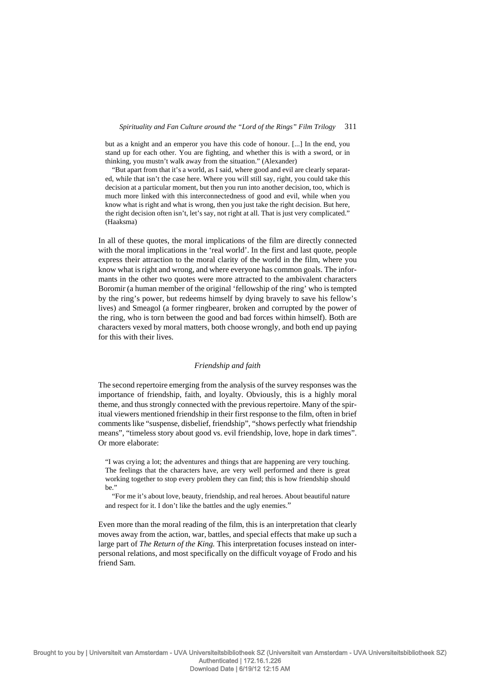#### *Spirituality and Fan Culture around the "Lord of the Rings" Film Trilogy* 311

but as a knight and an emperor you have this code of honour. [...] In the end, you stand up for each other. You are fighting, and whether this is with a sword, or in thinking, you mustn't walk away from the situation." (Alexander)

"But apart from that it's a world, as I said, where good and evil are clearly separated, while that isn't the case here. Where you will still say, right, you could take this decision at a particular moment, but then you run into another decision, too, which is much more linked with this interconnectedness of good and evil, while when you know what is right and what is wrong, then you just take the right decision. But here, the right decision often isn't, let's say, not right at all. That is just very complicated." (Haaksma)

In all of these quotes, the moral implications of the film are directly connected with the moral implications in the 'real world'. In the first and last quote, people express their attraction to the moral clarity of the world in the film, where you know what is right and wrong, and where everyone has common goals. The informants in the other two quotes were more attracted to the ambivalent characters Boromir (a human member of the original 'fellowship of the ring' who is tempted by the ring's power, but redeems himself by dying bravely to save his fellow's lives) and Smeagol (a former ringbearer, broken and corrupted by the power of the ring, who is torn between the good and bad forces within himself). Both are characters vexed by moral matters, both choose wrongly, and both end up paying for this with their lives.

# *Friendship and faith*

The second repertoire emerging from the analysis of the survey responses was the importance of friendship, faith, and loyalty. Obviously, this is a highly moral theme, and thus strongly connected with the previous repertoire. Many of the spiritual viewers mentioned friendship in their first response to the film, often in brief comments like "suspense, disbelief, friendship", "shows perfectly what friendship means", "timeless story about good vs. evil friendship, love, hope in dark times". Or more elaborate:

"I was crying a lot; the adventures and things that are happening are very touching. The feelings that the characters have, are very well performed and there is great working together to stop every problem they can find; this is how friendship should be."

"For me it's about love, beauty, friendship, and real heroes. About beautiful nature and respect for it. I don't like the battles and the ugly enemies."

Even more than the moral reading of the film, this is an interpretation that clearly moves away from the action, war, battles, and special effects that make up such a large part of *The Return of the King.* This interpretation focuses instead on interpersonal relations, and most specifically on the difficult voyage of Frodo and his friend Sam.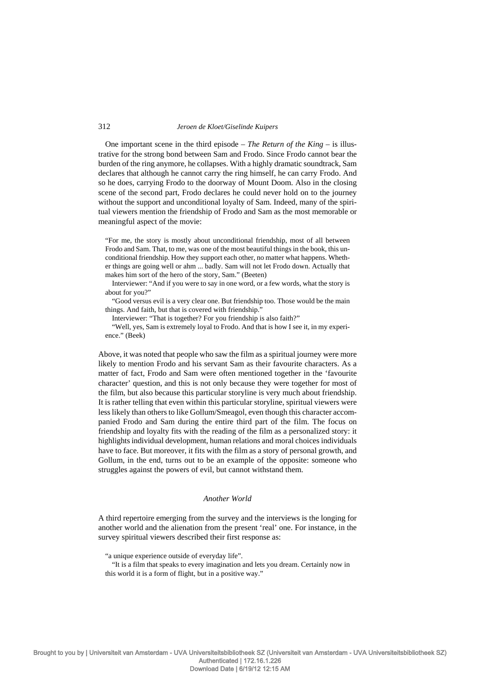One important scene in the third episode – *The Return of the King* – is illustrative for the strong bond between Sam and Frodo. Since Frodo cannot bear the burden of the ring anymore, he collapses. With a highly dramatic soundtrack, Sam declares that although he cannot carry the ring himself, he can carry Frodo. And so he does, carrying Frodo to the doorway of Mount Doom. Also in the closing scene of the second part, Frodo declares he could never hold on to the journey without the support and unconditional loyalty of Sam. Indeed, many of the spiritual viewers mention the friendship of Frodo and Sam as the most memorable or meaningful aspect of the movie:

"For me, the story is mostly about unconditional friendship, most of all between Frodo and Sam. That, to me, was one of the most beautiful things in the book, this unconditional friendship. How they support each other, no matter what happens. Whether things are going well or ahm ... badly. Sam will not let Frodo down. Actually that makes him sort of the hero of the story, Sam." (Beeten)

Interviewer: "And if you were to say in one word, or a few words, what the story is about for you?"

"Good versus evil is a very clear one. But friendship too. Those would be the main things. And faith, but that is covered with friendship.'

Interviewer: "That is together? For you friendship is also faith?"

"Well, yes, Sam is extremely loyal to Frodo. And that is how I see it, in my experience." (Beek)

Above, it was noted that people who saw the film as a spiritual journey were more likely to mention Frodo and his servant Sam as their favourite characters. As a matter of fact, Frodo and Sam were often mentioned together in the 'favourite character' question, and this is not only because they were together for most of the film, but also because this particular storyline is very much about friendship. It is rather telling that even within this particular storyline, spiritual viewers were less likely than others to like Gollum/Smeagol, even though this character accompanied Frodo and Sam during the entire third part of the film. The focus on friendship and loyalty fits with the reading of the film as a personalized story: it highlights individual development, human relations and moral choices individuals have to face. But moreover, it fits with the film as a story of personal growth, and Gollum, in the end, turns out to be an example of the opposite: someone who struggles against the powers of evil, but cannot withstand them.

# *Another World*

A third repertoire emerging from the survey and the interviews is the longing for another world and the alienation from the present 'real' one. For instance, in the survey spiritual viewers described their first response as:

"a unique experience outside of everyday life".

"It is a film that speaks to every imagination and lets you dream. Certainly now in this world it is a form of flight, but in a positive way."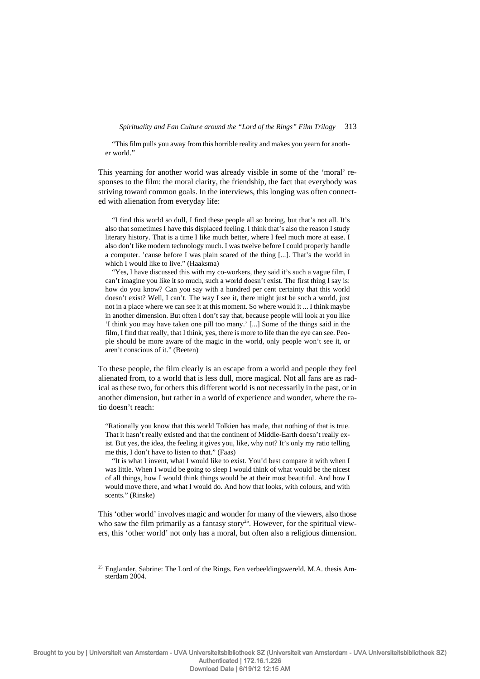"This film pulls you away from this horrible reality and makes you yearn for another world."

This yearning for another world was already visible in some of the 'moral' responses to the film: the moral clarity, the friendship, the fact that everybody was striving toward common goals. In the interviews, this longing was often connected with alienation from everyday life:

"I find this world so dull, I find these people all so boring, but that's not all. It's also that sometimes I have this displaced feeling. I think that's also the reason I study literary history. That is a time I like much better, where I feel much more at ease. I also don't like modern technology much. I was twelve before I could properly handle a computer. 'cause before I was plain scared of the thing [...]. That's the world in which I would like to live." (Haaksma)

"Yes, I have discussed this with my co-workers, they said it's such a vague film, I can't imagine you like it so much, such a world doesn't exist. The first thing I say is: how do you know? Can you say with a hundred per cent certainty that this world doesn't exist? Well, I can't. The way I see it, there might just be such a world, just not in a place where we can see it at this moment. So where would it ... I think maybe in another dimension. But often I don't say that, because people will look at you like 'I think you may have taken one pill too many.' [...] Some of the things said in the film, I find that really, that I think, yes, there is more to life than the eye can see. People should be more aware of the magic in the world, only people won't see it, or aren't conscious of it." (Beeten)

To these people, the film clearly is an escape from a world and people they feel alienated from, to a world that is less dull, more magical. Not all fans are as radical as these two, for others this different world is not necessarily in the past, or in another dimension, but rather in a world of experience and wonder, where the ratio doesn't reach:

"Rationally you know that this world Tolkien has made, that nothing of that is true. That it hasn't really existed and that the continent of Middle-Earth doesn't really exist. But yes, the idea, the feeling it gives you, like, why not? It's only my ratio telling me this, I don't have to listen to that." (Faas)

"It is what I invent, what I would like to exist. You'd best compare it with when I was little. When I would be going to sleep I would think of what would be the nicest of all things, how I would think things would be at their most beautiful. And how I would move there, and what I would do. And how that looks, with colours, and with scents." (Rinske)

This 'other world' involves magic and wonder for many of the viewers, also those who saw the film primarily as a fantasy story<sup>25</sup>. However, for the spiritual viewers, this 'other world' not only has a moral, but often also a religious dimension.

<sup>&</sup>lt;sup>25</sup> Englander, Sabrine: The Lord of the Rings. Een verbeeldingswereld. M.A. thesis Amsterdam 2004.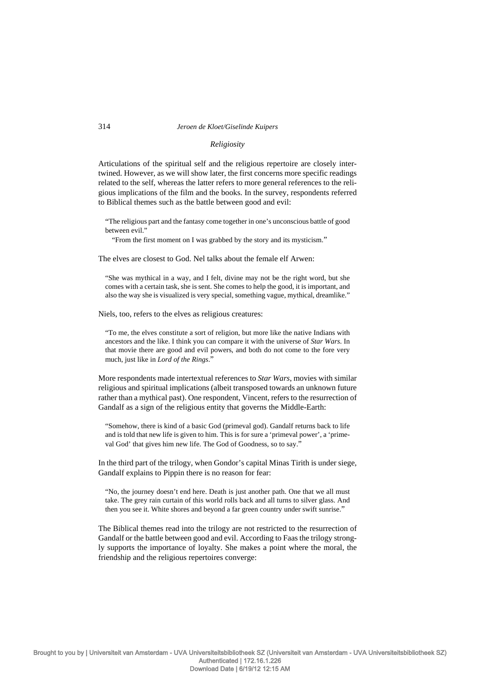# *Religiosity*

Articulations of the spiritual self and the religious repertoire are closely intertwined. However, as we will show later, the first concerns more specific readings related to the self, whereas the latter refers to more general references to the religious implications of the film and the books. In the survey, respondents referred to Biblical themes such as the battle between good and evil:

"The religious part and the fantasy come together in one's unconscious battle of good between evil."

"From the first moment on I was grabbed by the story and its mysticism."

The elves are closest to God. Nel talks about the female elf Arwen:

"She was mythical in a way, and I felt, divine may not be the right word, but she comes with a certain task, she is sent. She comes to help the good, it is important, and also the way she is visualized is very special, something vague, mythical, dreamlike."

Niels, too, refers to the elves as religious creatures:

"To me, the elves constitute a sort of religion, but more like the native Indians with ancestors and the like. I think you can compare it with the universe of *Star Wars*. In that movie there are good and evil powers, and both do not come to the fore very much, just like in *Lord of the Rings*."

More respondents made intertextual references to *Star Wars*, movies with similar religious and spiritual implications (albeit transposed towards an unknown future rather than a mythical past). One respondent, Vincent, refers to the resurrection of Gandalf as a sign of the religious entity that governs the Middle-Earth:

"Somehow, there is kind of a basic God (primeval god). Gandalf returns back to life and is told that new life is given to him. This is for sure a 'primeval power', a 'primeval God' that gives him new life. The God of Goodness, so to say."

In the third part of the trilogy, when Gondor's capital Minas Tirith is under siege, Gandalf explains to Pippin there is no reason for fear:

"No, the journey doesn't end here. Death is just another path. One that we all must take. The grey rain curtain of this world rolls back and all turns to silver glass. And then you see it. White shores and beyond a far green country under swift sunrise."

The Biblical themes read into the trilogy are not restricted to the resurrection of Gandalf or the battle between good and evil. According to Faas the trilogy strongly supports the importance of loyalty. She makes a point where the moral, the friendship and the religious repertoires converge: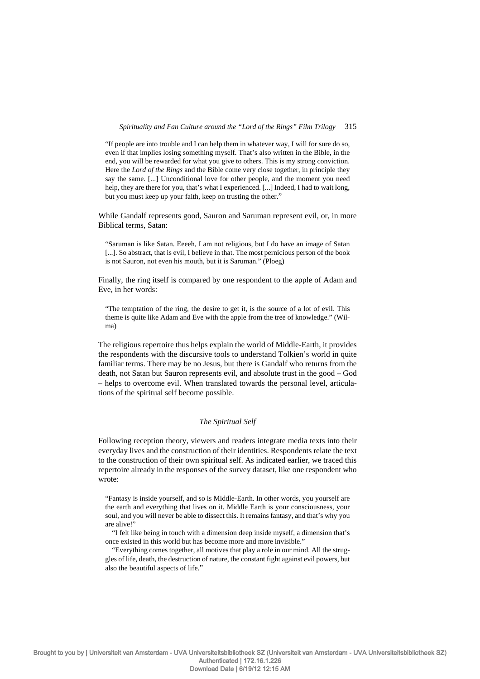"If people are into trouble and I can help them in whatever way, I will for sure do so, even if that implies losing something myself. That's also written in the Bible, in the end, you will be rewarded for what you give to others. This is my strong conviction. Here the *Lord of the Rings* and the Bible come very close together, in principle they say the same. [...] Unconditional love for other people, and the moment you need help, they are there for you, that's what I experienced. [...] Indeed, I had to wait long, but you must keep up your faith, keep on trusting the other."

While Gandalf represents good, Sauron and Saruman represent evil, or, in more Biblical terms, Satan:

"Saruman is like Satan. Eeeeh, I am not religious, but I do have an image of Satan [...]. So abstract, that is evil, I believe in that. The most pernicious person of the book is not Sauron, not even his mouth, but it is Saruman." (Ploeg)

Finally, the ring itself is compared by one respondent to the apple of Adam and Eve, in her words:

"The temptation of the ring, the desire to get it, is the source of a lot of evil. This theme is quite like Adam and Eve with the apple from the tree of knowledge." (Wilma)

The religious repertoire thus helps explain the world of Middle-Earth, it provides the respondents with the discursive tools to understand Tolkien's world in quite familiar terms. There may be no Jesus, but there is Gandalf who returns from the death, not Satan but Sauron represents evil, and absolute trust in the good – God – helps to overcome evil. When translated towards the personal level, articulations of the spiritual self become possible.

# *The Spiritual Self*

Following reception theory, viewers and readers integrate media texts into their everyday lives and the construction of their identities. Respondents relate the text to the construction of their own spiritual self. As indicated earlier, we traced this repertoire already in the responses of the survey dataset, like one respondent who wrote:

"Fantasy is inside yourself, and so is Middle-Earth. In other words, you yourself are the earth and everything that lives on it. Middle Earth is your consciousness, your soul, and you will never be able to dissect this. It remains fantasy, and that's why you are alive!"

"I felt like being in touch with a dimension deep inside myself, a dimension that's once existed in this world but has become more and more invisible."

"Everything comes together, all motives that play a role in our mind. All the struggles of life, death, the destruction of nature, the constant fight against evil powers, but also the beautiful aspects of life."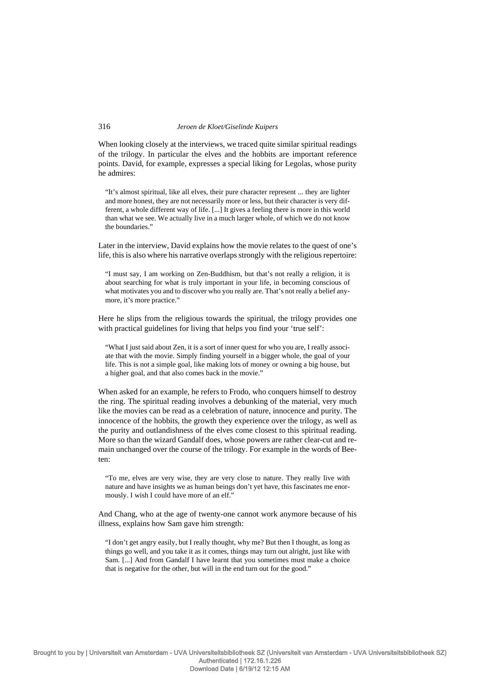When looking closely at the interviews, we traced quite similar spiritual readings of the trilogy. In particular the elves and the hobbits are important reference points. David, for example, expresses a special liking for Legolas, whose purity he admires:

"It's almost spiritual, like all elves, their pure character represent ... they are lighter and more honest, they are not necessarily more or less, but their character is very different, a whole different way of life. [...] It gives a feeling there is more in this world than what we see. We actually live in a much larger whole, of which we do not know the boundaries."

Later in the interview, David explains how the movie relates to the quest of one's life, this is also where his narrative overlaps strongly with the religious repertoire:

"I must say, I am working on Zen-Buddhism, but that's not really a religion, it is about searching for what is truly important in your life, in becoming conscious of what motivates you and to discover who you really are. That's not really a belief anymore, it's more practice."

Here he slips from the religious towards the spiritual, the trilogy provides one with practical guidelines for living that helps you find your 'true self':

"What I just said about Zen, it is a sort of inner quest for who you are, I really associate that with the movie. Simply finding yourself in a bigger whole, the goal of your life. This is not a simple goal, like making lots of money or owning a big house, but a higher goal, and that also comes back in the movie."

When asked for an example, he refers to Frodo, who conquers himself to destroy the ring. The spiritual reading involves a debunking of the material, very much like the movies can be read as a celebration of nature, innocence and purity. The innocence of the hobbits, the growth they experience over the trilogy, as well as the purity and outlandishness of the elves come closest to this spiritual reading. More so than the wizard Gandalf does, whose powers are rather clear-cut and remain unchanged over the course of the trilogy. For example in the words of Beeten:

"To me, elves are very wise, they are very close to nature. They really live with nature and have insights we as human beings don't yet have, this fascinates me enormously. I wish I could have more of an elf."

And Chang, who at the age of twenty-one cannot work anymore because of his illness, explains how Sam gave him strength:

"I don't get angry easily, but I really thought, why me? But then I thought, as long as things go well, and you take it as it comes, things may turn out alright, just like with Sam. [...] And from Gandalf I have learnt that you sometimes must make a choice that is negative for the other, but will in the end turn out for the good."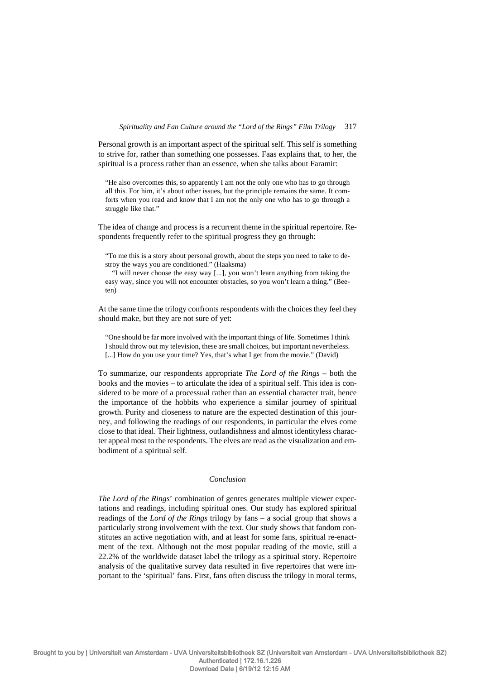Personal growth is an important aspect of the spiritual self. This self is something to strive for, rather than something one possesses. Faas explains that, to her, the spiritual is a process rather than an essence, when she talks about Faramir:

"He also overcomes this, so apparently I am not the only one who has to go through all this. For him, it's about other issues, but the principle remains the same. It comforts when you read and know that I am not the only one who has to go through a struggle like that."

The idea of change and process is a recurrent theme in the spiritual repertoire. Respondents frequently refer to the spiritual progress they go through:

"To me this is a story about personal growth, about the steps you need to take to destroy the ways you are conditioned." (Haaksma)

"I will never choose the easy way [...], you won't learn anything from taking the easy way, since you will not encounter obstacles, so you won't learn a thing." (Beeten)

At the same time the trilogy confronts respondents with the choices they feel they should make, but they are not sure of yet:

"One should be far more involved with the important things of life. Sometimes I think I should throw out my television, these are small choices, but important nevertheless. [...] How do you use your time? Yes, that's what I get from the movie." (David)

To summarize, our respondents appropriate *The Lord of the Rings* – both the books and the movies – to articulate the idea of a spiritual self. This idea is considered to be more of a processual rather than an essential character trait, hence the importance of the hobbits who experience a similar journey of spiritual growth. Purity and closeness to nature are the expected destination of this journey, and following the readings of our respondents, in particular the elves come close to that ideal. Their lightness, outlandishness and almost identityless character appeal most to the respondents. The elves are read as the visualization and embodiment of a spiritual self.

### *Conclusion*

*The Lord of the Rings*' combination of genres generates multiple viewer expectations and readings, including spiritual ones. Our study has explored spiritual readings of the *Lord of the Rings* trilogy by fans – a social group that shows a particularly strong involvement with the text. Our study shows that fandom constitutes an active negotiation with, and at least for some fans, spiritual re-enactment of the text. Although not the most popular reading of the movie, still a 22.2% of the worldwide dataset label the trilogy as a spiritual story. Repertoire analysis of the qualitative survey data resulted in five repertoires that were important to the 'spiritual' fans. First, fans often discuss the trilogy in moral terms,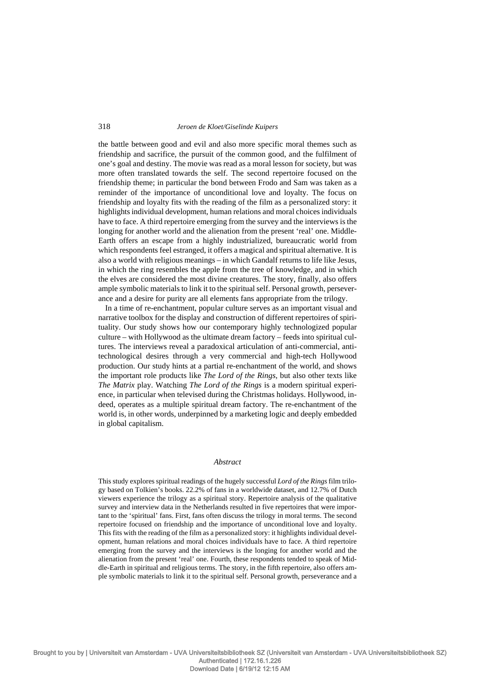the battle between good and evil and also more specific moral themes such as friendship and sacrifice, the pursuit of the common good, and the fulfilment of one's goal and destiny. The movie was read as a moral lesson for society, but was more often translated towards the self. The second repertoire focused on the friendship theme; in particular the bond between Frodo and Sam was taken as a reminder of the importance of unconditional love and loyalty. The focus on friendship and loyalty fits with the reading of the film as a personalized story: it highlights individual development, human relations and moral choices individuals have to face. A third repertoire emerging from the survey and the interviews is the longing for another world and the alienation from the present 'real' one. Middle-Earth offers an escape from a highly industrialized, bureaucratic world from which respondents feel estranged, it offers a magical and spiritual alternative. It is also a world with religious meanings – in which Gandalf returns to life like Jesus, in which the ring resembles the apple from the tree of knowledge, and in which the elves are considered the most divine creatures. The story, finally, also offers ample symbolic materials to link it to the spiritual self. Personal growth, perseverance and a desire for purity are all elements fans appropriate from the trilogy.

In a time of re-enchantment, popular culture serves as an important visual and narrative toolbox for the display and construction of different repertoires of spirituality. Our study shows how our contemporary highly technologized popular culture – with Hollywood as the ultimate dream factory – feeds into spiritual cultures. The interviews reveal a paradoxical articulation of anti-commercial, antitechnological desires through a very commercial and high-tech Hollywood production. Our study hints at a partial re-enchantment of the world, and shows the important role products like *The Lord of the Rings*, but also other texts like *The Matrix* play. Watching *The Lord of the Rings* is a modern spiritual experience, in particular when televised during the Christmas holidays. Hollywood, indeed, operates as a multiple spiritual dream factory. The re-enchantment of the world is, in other words, underpinned by a marketing logic and deeply embedded in global capitalism.

## *Abstract*

This study explores spiritual readings of the hugely successful *Lord of the Rings* film trilogy based on Tolkien's books. 22.2% of fans in a worldwide dataset, and 12.7% of Dutch viewers experience the trilogy as a spiritual story. Repertoire analysis of the qualitative survey and interview data in the Netherlands resulted in five repertoires that were important to the 'spiritual' fans. First, fans often discuss the trilogy in moral terms. The second repertoire focused on friendship and the importance of unconditional love and loyalty. This fits with the reading of the film as a personalized story: it highlights individual development, human relations and moral choices individuals have to face. A third repertoire emerging from the survey and the interviews is the longing for another world and the alienation from the present 'real' one. Fourth, these respondents tended to speak of Middle-Earth in spiritual and religious terms. The story, in the fifth repertoire, also offers ample symbolic materials to link it to the spiritual self. Personal growth, perseverance and a